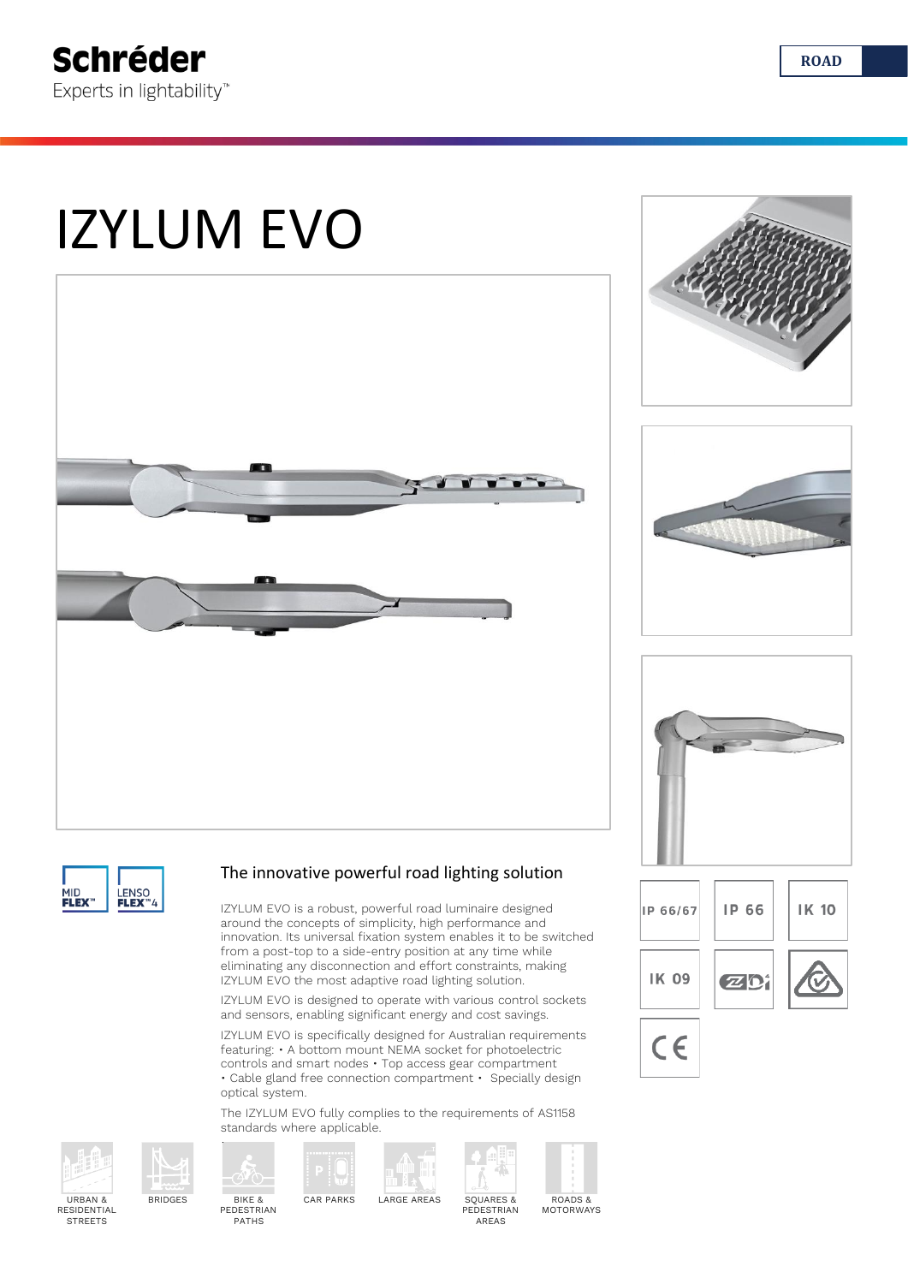# IZYLUM EVO











#### The innovative powerful road lighting solution

IZYLUM EVO is a robust, powerful road luminaire designed around the concepts of simplicity, high performance and innovation. Its universal fixation system enables it to be switched from a post-top to a side-entry position at any time while eliminating any disconnection and effort constraints, making IZYLUM EVO the most adaptive road lighting solution.

IZYLUM EVO is designed to operate with various control sockets and sensors, enabling significant energy and cost savings.

IZYLUM EVO is specifically designed for Australian requirements featuring: • A bottom mount NEMA socket for photoelectric controls and smart nodes • Top access gear compartment • Cable gland free connection compartment • Specially design optical system.

The IZYLUM EVO fully complies to the requirements of AS1158 standards where applicable.



**STREETS** 









ROADS & MOTORWAYS





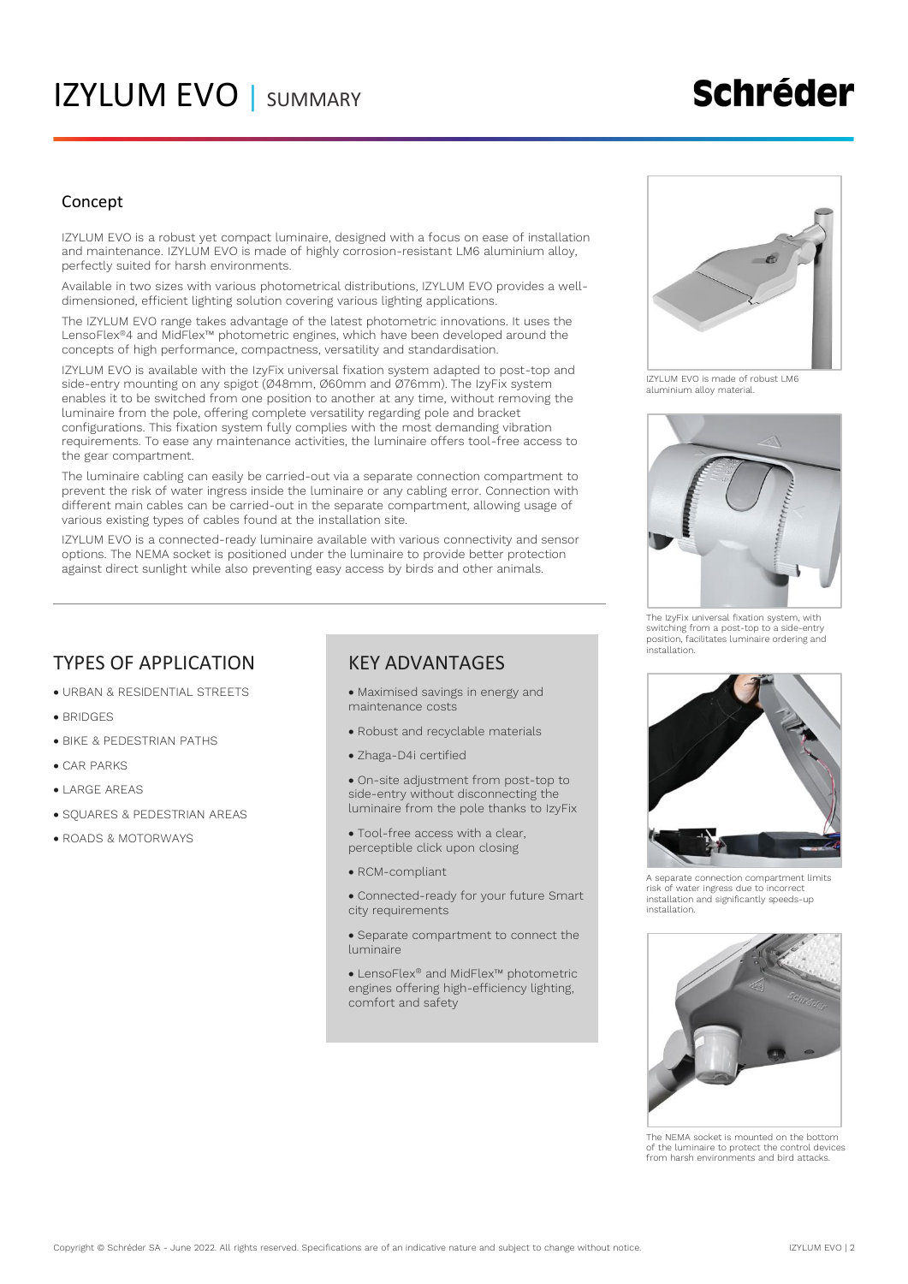### IZYLUM EVO | SUMMARY

## **Schréder**

#### Concept

IZYLUM EVO is a robust yet compact luminaire, designed with a focus on ease of installation and maintenance. IZYLUM EVO is made of highly corrosion-resistant LM6 aluminium alloy, perfectly suited for harsh environments.

Available in two sizes with various photometrical distributions, IZYLUM EVO provides a welldimensioned, efficient lighting solution covering various lighting applications.

The IZYLUM EVO range takes advantage of the latest photometric innovations. It uses the LensoFlex®4 and MidFlex™ photometric engines, which have been developed around the concepts of high performance, compactness, versatility and standardisation.

IZYLUM EVO is available with the IzyFix universal fixation system adapted to post-top and side-entry mounting on any spigot (Ø48mm, Ø60mm and Ø76mm). The IzyFix system enables it to be switched from one position to another at any time, without removing the luminaire from the pole, offering complete versatility regarding pole and bracket configurations. This fixation system fully complies with the most demanding vibration requirements. To ease any maintenance activities, the luminaire offers tool-free access to the gear compartment.

The luminaire cabling can easily be carried-out via a separate connection compartment to prevent the risk of water ingress inside the luminaire or any cabling error. Connection with different main cables can be carried-out in the separate compartment, allowing usage of various existing types of cables found at the installation site.

IZYLUM EVO is a connected-ready luminaire available with various connectivity and sensor options. The NEMA socket is positioned under the luminaire to provide better protection against direct sunlight while also preventing easy access by birds and other animals.

### TYPES OF APPLICATION

- URBAN & RESIDENTIAL STREETS
- BRIDGES
- BIKE & PEDESTRIAN PATHS
- CAR PARKS
- LARGE AREAS
- SQUARES & PEDESTRIAN AREAS
- ROADS & MOTORWAYS

#### KEY ADVANTAGES

- Maximised savings in energy and maintenance costs
- Robust and recyclable materials
- Zhaga-D4i certified

• On-site adjustment from post-top to side-entry without disconnecting the luminaire from the pole thanks to IzyFix

- Tool-free access with a clear, perceptible click upon closing
- RCM-compliant
- Connected-ready for your future Smart city requirements
- Separate compartment to connect the luminaire

• LensoFlex® and MidFlex™ photometric engines offering high-efficiency lighting, comfort and safety



IZYLUM EVO is made of robust LM6 aluminium alloy material.



The IzyFix universal fixation system, with switching from a post-top to a side-entry position, facilitates luminaire ordering and .<br>installation



A separate connection compartment limits risk of water ingress due to incorrect installation and significantly speeds-up installation.



The NEMA socket is mounted on the bottom of the luminaire to protect the control devices from harsh environments and bird attacks.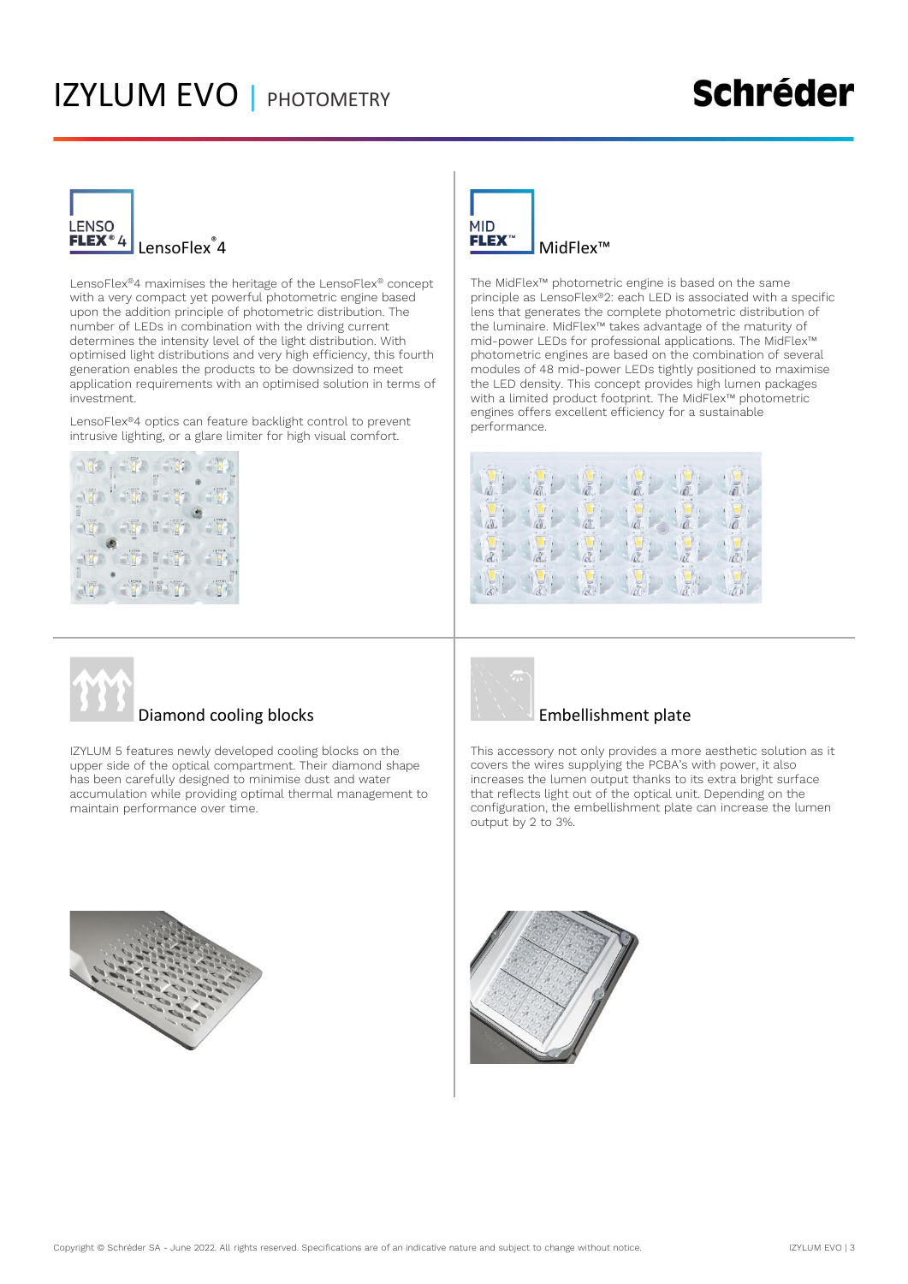### IZYLUM EVO | PHOTOMETRY

### **Schréder**



LensoFlex®4 maximises the heritage of the LensoFlex® concept with a very compact yet powerful photometric engine based upon the addition principle of photometric distribution. The number of LEDs in combination with the driving current determines the intensity level of the light distribution. With optimised light distributions and very high efficiency, this fourth generation enables the products to be downsized to meet application requirements with an optimised solution in terms of investment.

LensoFlex®4 optics can feature backlight control to prevent intrusive lighting, or a glare limiter for high visual comfort.





The MidFlex™ photometric engine is based on the same principle as LensoFlex®2: each LED is associated with a specific lens that generates the complete photometric distribution of the luminaire. MidFlex™ takes advantage of the maturity of mid-power LEDs for professional applications. The MidFlex™ photometric engines are based on the combination of several modules of 48 mid-power LEDs tightly positioned to maximise the LED density. This concept provides high lumen packages with a limited product footprint. The MidFlex™ photometric engines offers excellent efficiency for a sustainable performance.





#### Diamond cooling blocks

IZYLUM 5 features newly developed cooling blocks on the upper side of the optical compartment. Their diamond shape has been carefully designed to minimise dust and water accumulation while providing optimal thermal management to maintain performance over time.



#### Embellishment plate

This accessory not only provides a more aesthetic solution as it covers the wires supplying the PCBA's with power, it also increases the lumen output thanks to its extra bright surface that reflects light out of the optical unit. Depending on the configuration, the embellishment plate can increase the lumen output by 2 to 3%.



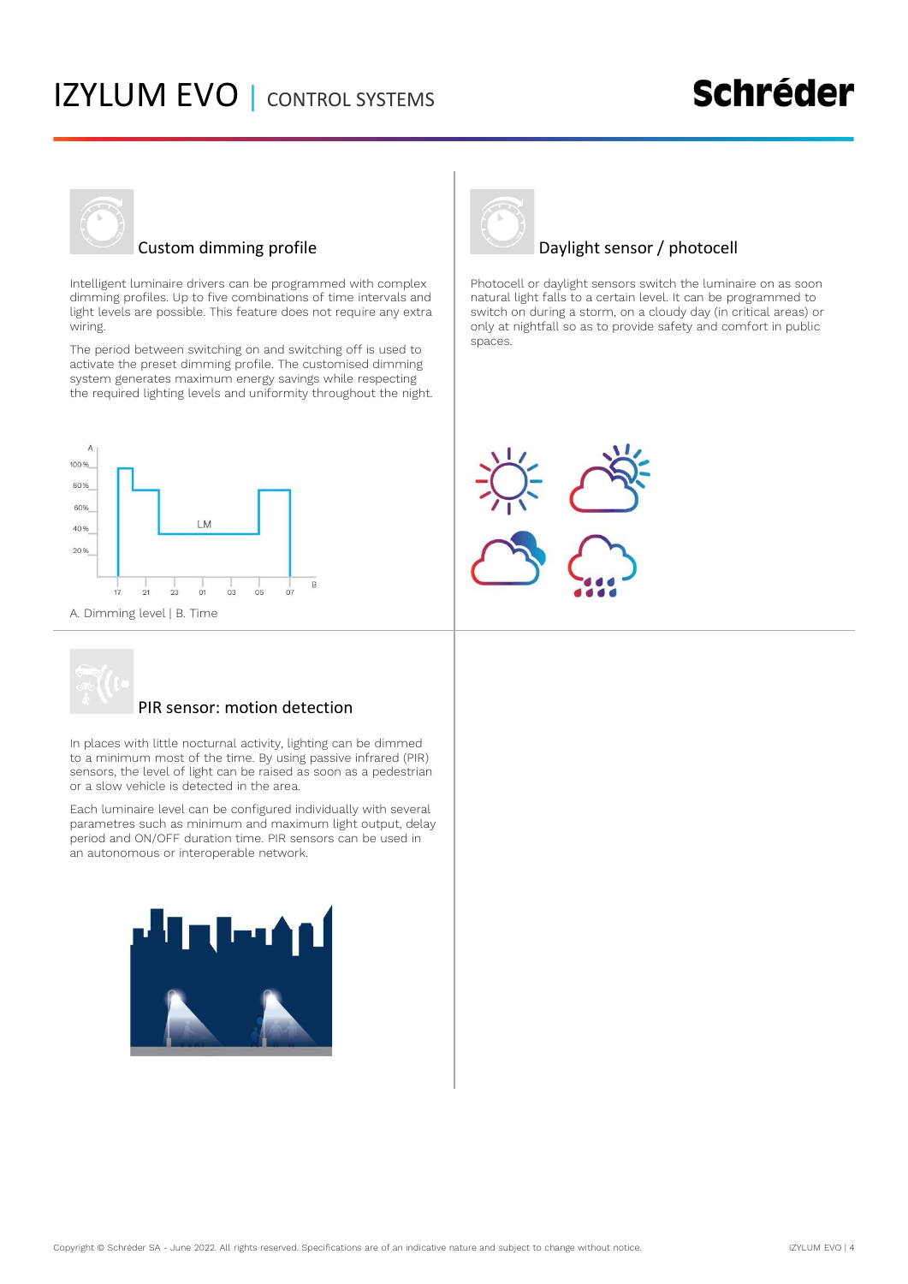### IZYLUM EVO | CONTROL SYSTEMS

### **Schréder**



#### Custom dimming profile

Intelligent luminaire drivers can be programmed with complex dimming profiles. Up to five combinations of time intervals and light levels are possible. This feature does not require any extra wiring.

The period between switching on and switching off is used to activate the preset dimming profile. The customised dimming system generates maximum energy savings while respecting the required lighting levels and uniformity throughout the night.



#### PIR sensor: motion detection

In places with little nocturnal activity, lighting can be dimmed to a minimum most of the time. By using passive infrared (PIR) sensors, the level of light can be raised as soon as a pedestrian or a slow vehicle is detected in the area.

Each luminaire level can be configured individually with several parametres such as minimum and maximum light output, delay period and ON/OFF duration time. PIR sensors can be used in an autonomous or interoperable network.





#### Daylight sensor / photocell

Photocell or daylight sensors switch the luminaire on as soon natural light falls to a certain level. It can be programmed to switch on during a storm, on a cloudy day (in critical areas) or only at nightfall so as to provide safety and comfort in public spaces.

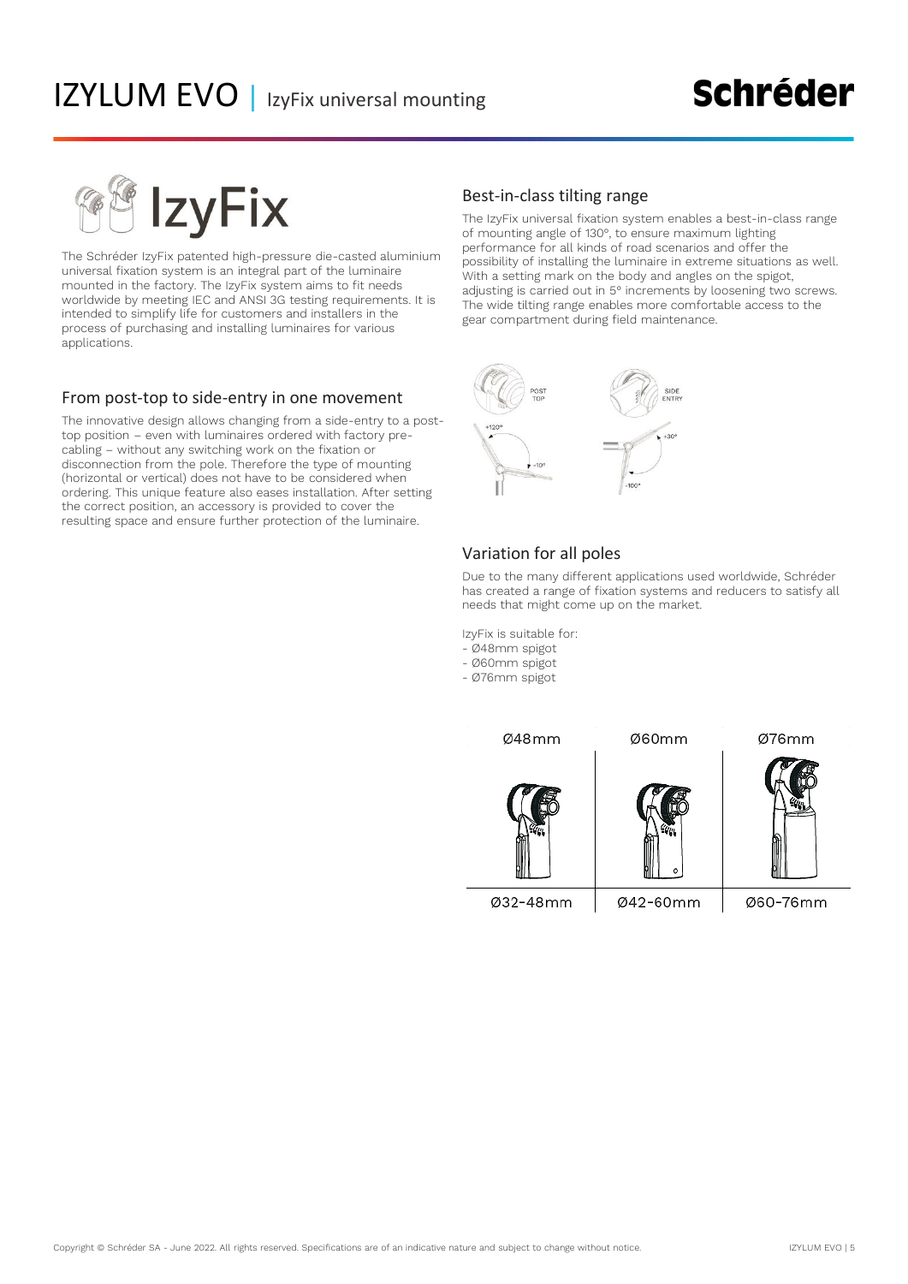### **Schréder**

**IzvFix** 

The Schréder IzyFix patented high-pressure die-casted aluminium universal fixation system is an integral part of the luminaire mounted in the factory. The IzyFix system aims to fit needs worldwide by meeting IEC and ANSI 3G testing requirements. It is intended to simplify life for customers and installers in the process of purchasing and installing luminaires for various applications.

#### From post-top to side-entry in one movement

The innovative design allows changing from a side-entry to a posttop position – even with luminaires ordered with factory precabling – without any switching work on the fixation or disconnection from the pole. Therefore the type of mounting (horizontal or vertical) does not have to be considered when ordering. This unique feature also eases installation. After setting the correct position, an accessory is provided to cover the resulting space and ensure further protection of the luminaire.

#### Best-in-class tilting range

The IzyFix universal fixation system enables a best-in-class range of mounting angle of 130°, to ensure maximum lighting performance for all kinds of road scenarios and offer the possibility of installing the luminaire in extreme situations as well. With a setting mark on the body and angles on the spigot, adjusting is carried out in 5° increments by loosening two screws. The wide tilting range enables more comfortable access to the gear compartment during field maintenance.



#### Variation for all poles

Due to the many different applications used worldwide, Schréder has created a range of fixation systems and reducers to satisfy all needs that might come up on the market.

IzyFix is suitable for:

- Ø48mm spigot
- Ø60mm spigot
- Ø76mm spigot

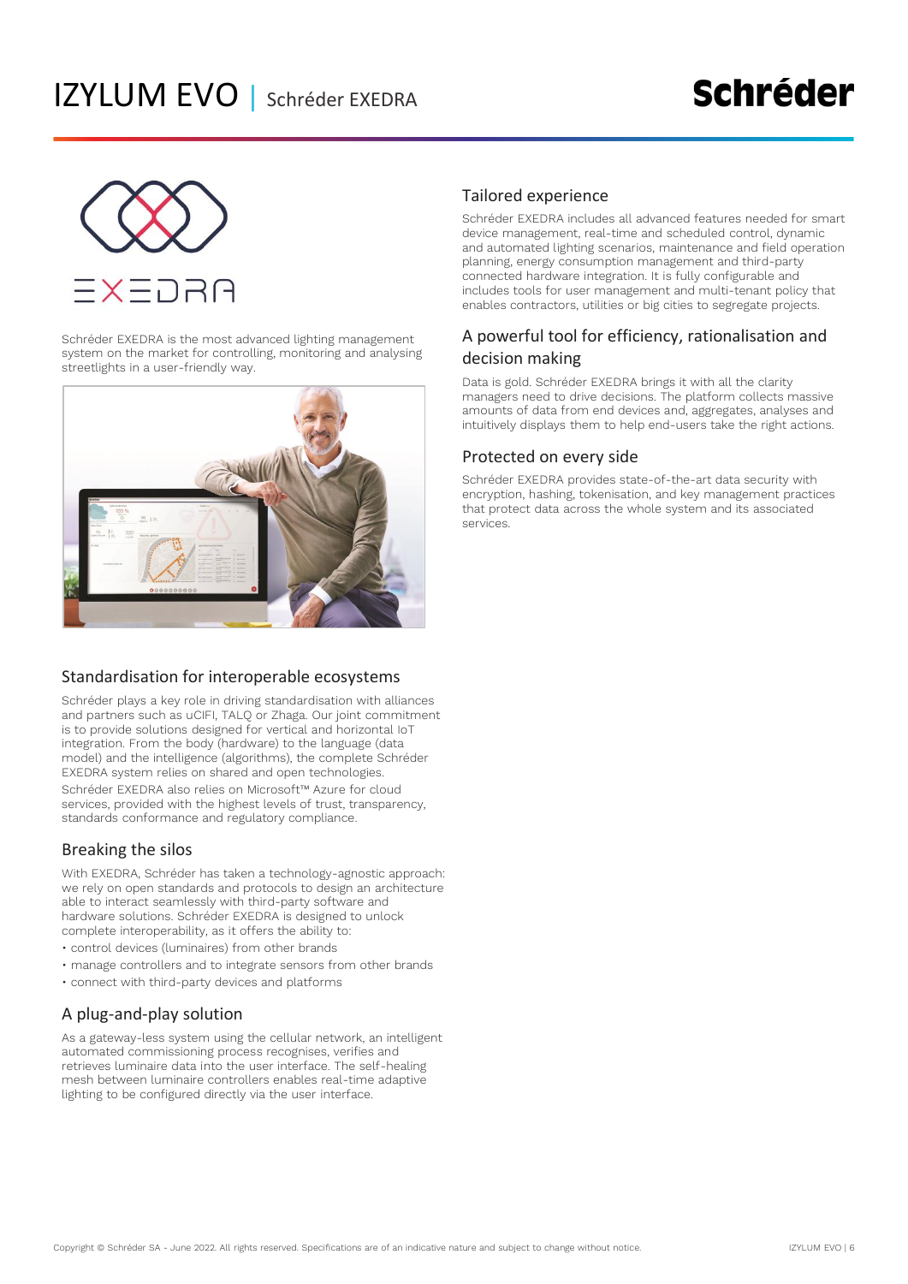

Schréder EXEDRA is the most advanced lighting management system on the market for controlling, monitoring and analysing streetlights in a user-friendly way.



#### Standardisation for interoperable ecosystems

Schréder plays a key role in driving standardisation with alliances and partners such as uCIFI, TALQ or Zhaga. Our joint commitment is to provide solutions designed for vertical and horizontal IoT integration. From the body (hardware) to the language (data model) and the intelligence (algorithms), the complete Schréder EXEDRA system relies on shared and open technologies. Schréder EXEDRA also relies on Microsoft™ Azure for cloud services, provided with the highest levels of trust, transparency, standards conformance and regulatory compliance.

#### Breaking the silos

With EXEDRA, Schréder has taken a technology-agnostic approach: we rely on open standards and protocols to design an architecture able to interact seamlessly with third-party software and hardware solutions. Schréder EXEDRA is designed to unlock complete interoperability, as it offers the ability to:

- control devices (luminaires) from other brands
- manage controllers and to integrate sensors from other brands
- connect with third-party devices and platforms

#### A plug-and-play solution

As a gateway-less system using the cellular network, an intelligent automated commissioning process recognises, verifies and retrieves luminaire data into the user interface. The self-healing mesh between luminaire controllers enables real-time adaptive lighting to be configured directly via the user interface.

#### Tailored experience

Schréder EXEDRA includes all advanced features needed for smart device management, real-time and scheduled control, dynamic and automated lighting scenarios, maintenance and field operation planning, energy consumption management and third-party connected hardware integration. It is fully configurable and includes tools for user management and multi-tenant policy that enables contractors, utilities or big cities to segregate projects.

#### A powerful tool for efficiency, rationalisation and decision making

Data is gold. Schréder EXEDRA brings it with all the clarity managers need to drive decisions. The platform collects massive amounts of data from end devices and, aggregates, analyses and intuitively displays them to help end-users take the right actions.

#### Protected on every side

Schréder EXEDRA provides state-of-the-art data security with encryption, hashing, tokenisation, and key management practices that protect data across the whole system and its associated services.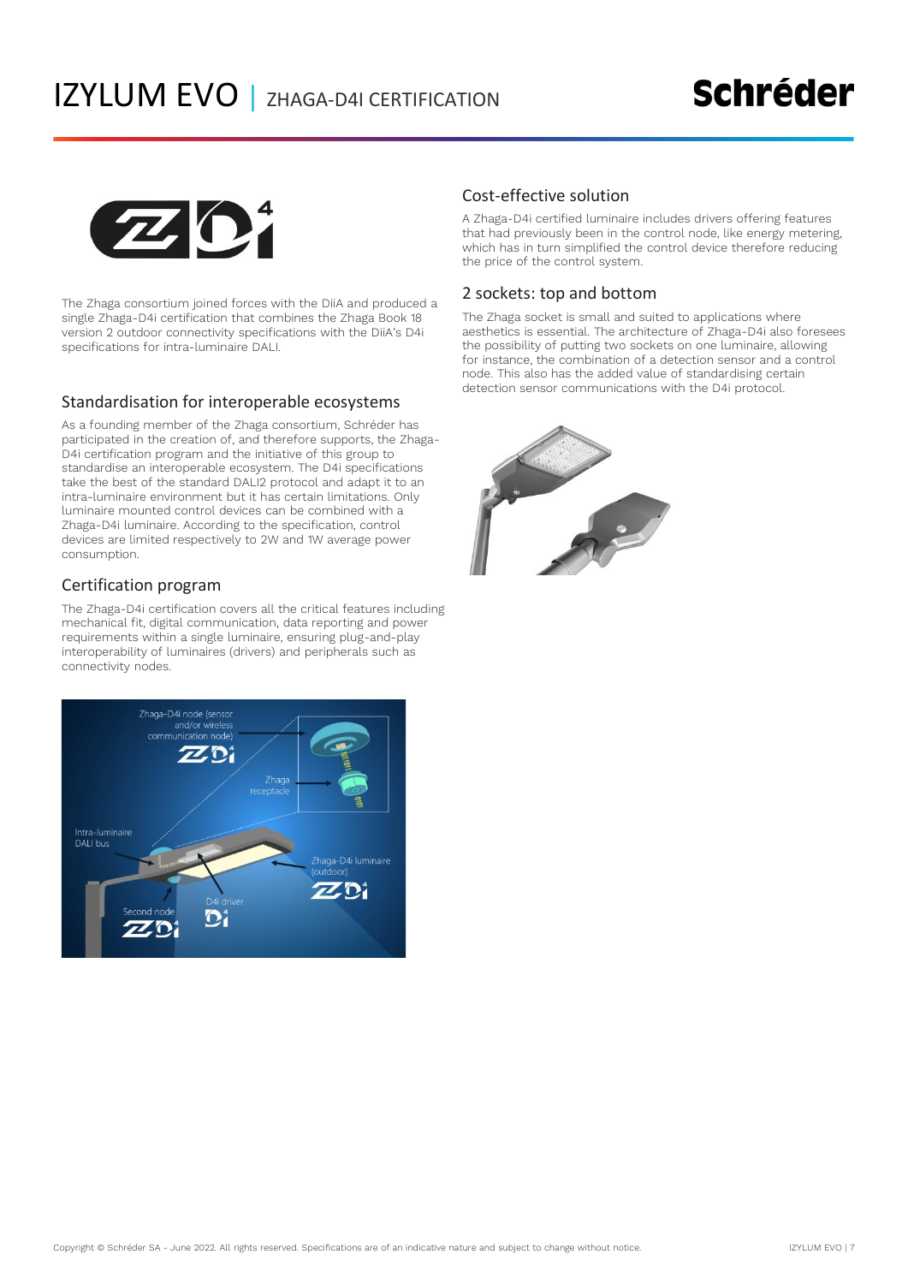### **Schréder**



The Zhaga consortium joined forces with the DiiA and produced a single Zhaga-D4i certification that combines the Zhaga Book 18 version 2 outdoor connectivity specifications with the DiiA's D4i specifications for intra-luminaire DALI.

#### Standardisation for interoperable ecosystems

As a founding member of the Zhaga consortium, Schréder has participated in the creation of, and therefore supports, the Zhaga-D4i certification program and the initiative of this group to standardise an interoperable ecosystem. The D4i specifications take the best of the standard DALI2 protocol and adapt it to an intra-luminaire environment but it has certain limitations. Only luminaire mounted control devices can be combined with a Zhaga-D4i luminaire. According to the specification, control devices are limited respectively to 2W and 1W average power consumption.

#### Certification program

The Zhaga-D4i certification covers all the critical features including mechanical fit, digital communication, data reporting and power requirements within a single luminaire, ensuring plug-and-play interoperability of luminaires (drivers) and peripherals such as connectivity nodes.



#### Cost-effective solution

A Zhaga-D4i certified luminaire includes drivers offering features that had previously been in the control node, like energy metering, which has in turn simplified the control device therefore reducing the price of the control system.

#### 2 sockets: top and bottom

The Zhaga socket is small and suited to applications where aesthetics is essential. The architecture of Zhaga-D4i also foresees the possibility of putting two sockets on one luminaire, allowing for instance, the combination of a detection sensor and a control node. This also has the added value of standardising certain detection sensor communications with the D4i protocol.

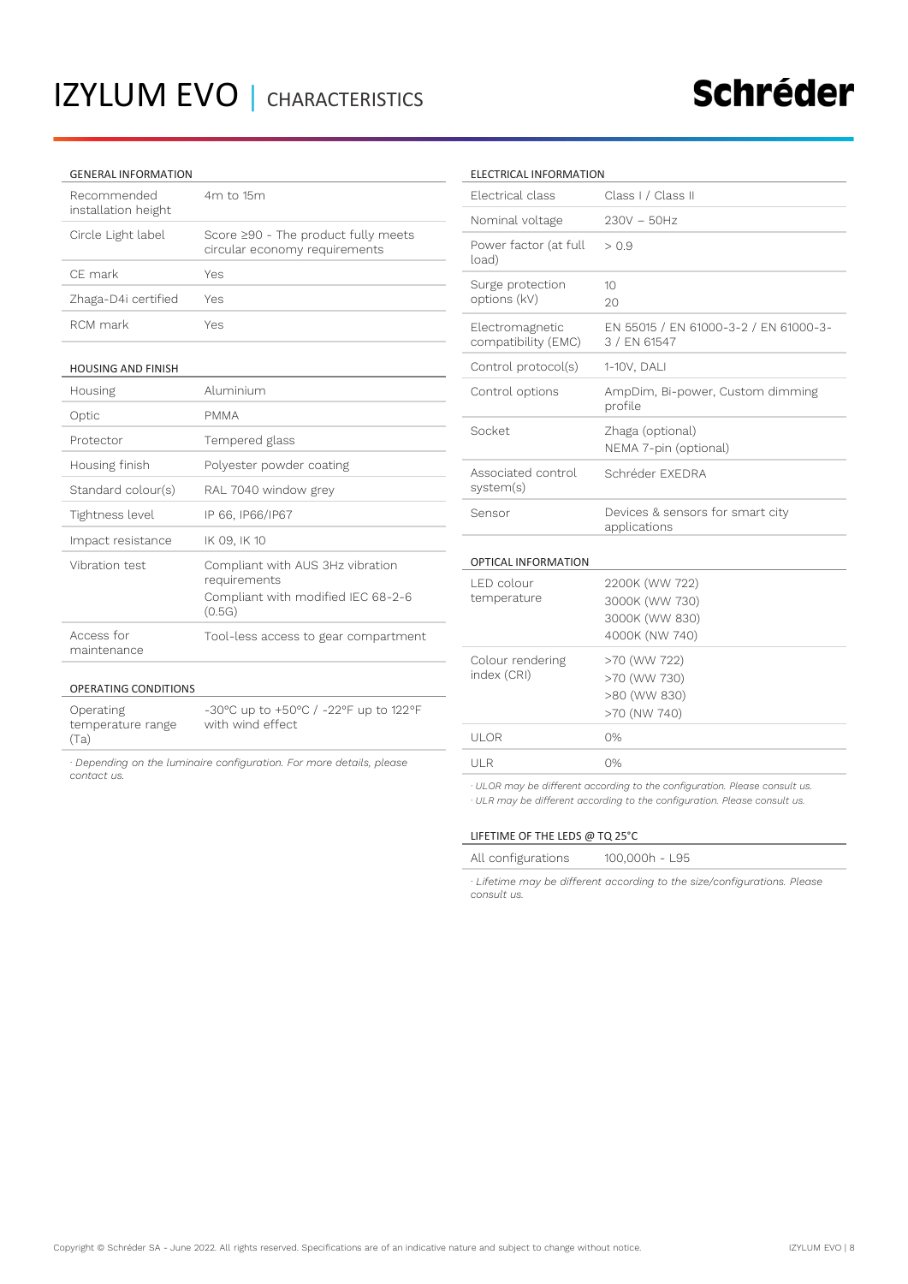#### GENERAL INFORMATION

| Recommended<br>installation height | 4m to 15m                                                            |
|------------------------------------|----------------------------------------------------------------------|
| Circle Light label                 | Score ≥90 - The product fully meets<br>circular economy requirements |
| CF mark                            | Yes                                                                  |
| Zhaga-D4i certified                | Yes                                                                  |
| RCM mark                           | Yes                                                                  |
|                                    |                                                                      |

#### HOUSING AND FINISH

OPERATING CONDITIONS

Operating temperature range

(Ta)

| Housing                   | Aluminium                                                                                        |
|---------------------------|--------------------------------------------------------------------------------------------------|
| Optic                     | <b>PMMA</b>                                                                                      |
| Protector                 | Tempered glass                                                                                   |
| Housing finish            | Polyester powder coating                                                                         |
| Standard colour(s)        | RAL 7040 window grey                                                                             |
| Tightness level           | IP 66, IP66/IP67                                                                                 |
| Impact resistance         | IK 09, IK 10                                                                                     |
| Vibration test            | Compliant with AUS 3Hz vibration<br>requirements<br>Compliant with modified IEC 68-2-6<br>(0.5G) |
| Access for<br>maintenance | Tool-less access to gear compartment                                                             |

#### ELECTRICAL INFORMATION

| Electrical class                       | Class I / Class II                                                   |
|----------------------------------------|----------------------------------------------------------------------|
| Nominal voltage                        | $230V - 50Hz$                                                        |
| Power factor (at full<br>load)         | > 0.9                                                                |
| Surge protection<br>options (kV)       | 10<br>20                                                             |
| Electromagnetic<br>compatibility (EMC) | EN 55015 / EN 61000-3-2 / EN 61000-3-<br>3 / EN 61547                |
| Control protocol(s)                    | 1-10V, DALI                                                          |
| Control options                        | AmpDim, Bi-power, Custom dimming<br>profile                          |
| Socket                                 | Zhaga (optional)<br>NEMA 7-pin (optional)                            |
| Associated control<br>system(s)        | Schréder FXFDRA                                                      |
| Sensor                                 | Devices & sensors for smart city<br>applications                     |
| OPTICAL INFORMATION                    |                                                                      |
| LED colour<br>temperature              | 2200K (WW 722)<br>3000K (WW 730)<br>3000K (WW 830)<br>4000K (NW 740) |
| Colour rendering<br>index (CRI)        | >70 (WW 722)<br>>70 (WW 730)<br>>80 (WW 830)<br>>70 (NW 740)         |
| UI OR                                  | 0%                                                                   |
| ULR                                    | 0%                                                                   |
|                                        |                                                                      |

*· ULOR may be different according to the configuration. Please consult us. · ULR may be different according to the configuration. Please consult us.*

#### LIFETIME OF THE LEDS @ TQ 25°C

| All configurations | 100,000h - L95 |
|--------------------|----------------|
|--------------------|----------------|

*· Lifetime may be different according to the size/configurations. Please consult us.*

|             |  | · Depending on the luminaire configuration. For more details, please |
|-------------|--|----------------------------------------------------------------------|
| contact us. |  |                                                                      |

with wind effect

-30°C up to +50°C / -22°F up to 122°F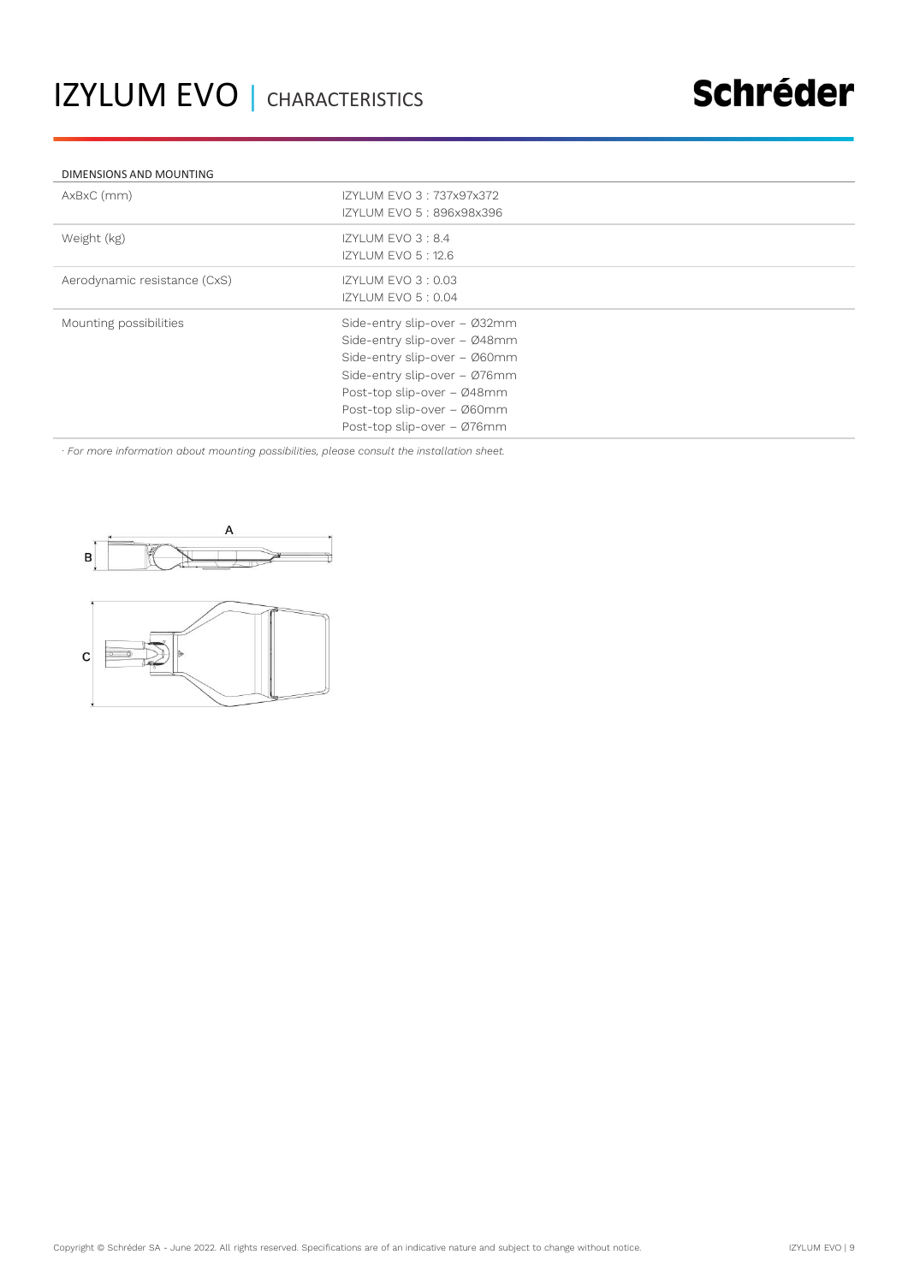#### DIMENSIONS AND MOUNTING

| AxBxC (mm)                   | IZYLUM EVO 3: 737x97x372<br>IZYLUM EVO 5: 896x98x396                                                                                                                                                                   |
|------------------------------|------------------------------------------------------------------------------------------------------------------------------------------------------------------------------------------------------------------------|
| Weight (kg)                  | IZYLUM EVO 3:8.4<br><b>IZYLUM EVO 5:12.6</b>                                                                                                                                                                           |
| Aerodynamic resistance (CxS) | IZYLUM EVO 3:0.03<br>IZYLUM EVO 5:0.04                                                                                                                                                                                 |
| Mounting possibilities       | Side-entry slip-over - Ø32mm<br>Side-entry slip-over - Ø48mm<br>Side-entry slip-over - Ø60mm<br>Side-entry slip-over - Ø76mm<br>Post-top slip-over - Ø48mm<br>Post-top slip-over - Ø60mm<br>Post-top slip-over - Ø76mm |

*· For more information about mounting possibilities, please consult the installation sheet.*



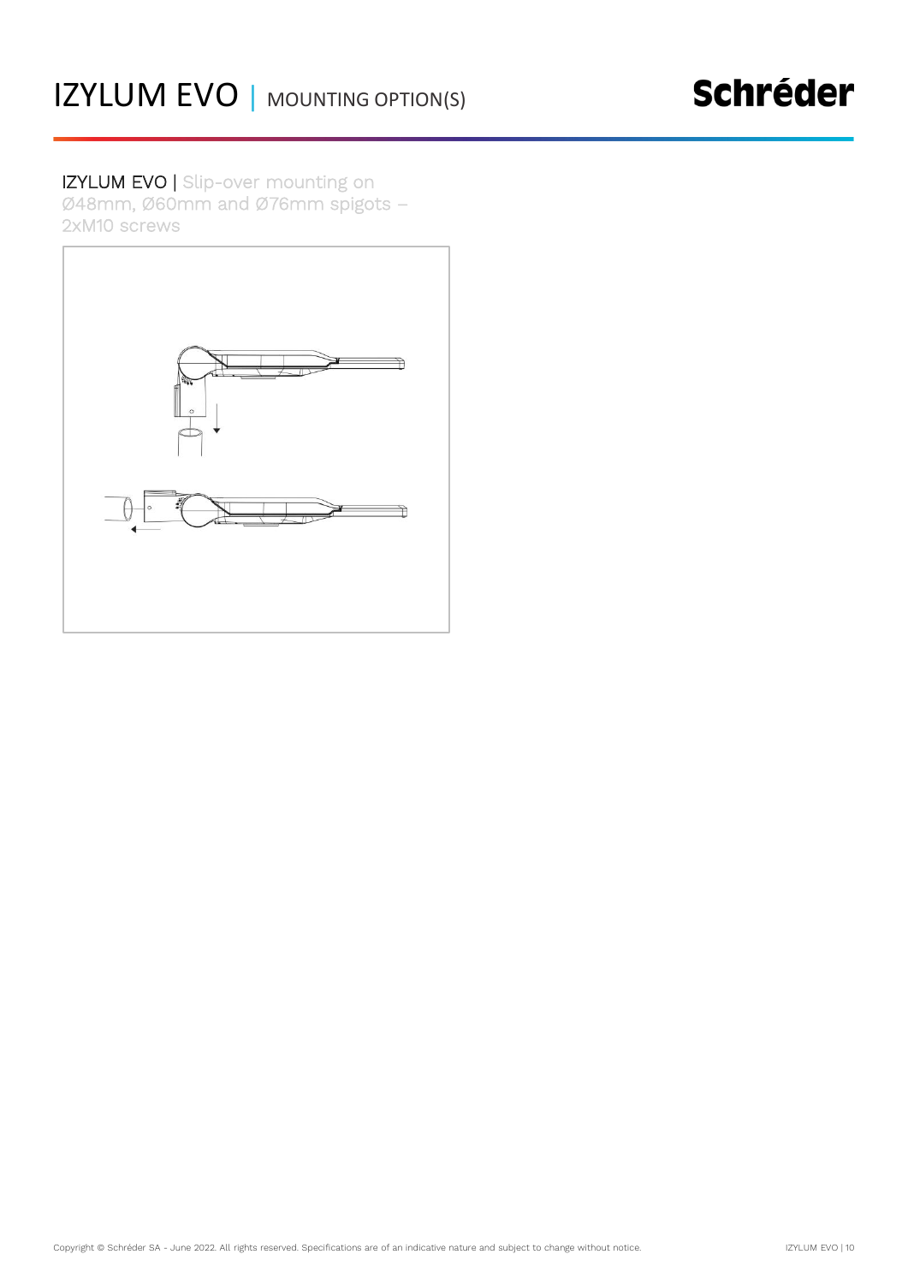IZYLUM EVO | Slip-over mounting on Ø48mm, Ø60mm and Ø76mm spigots – 2xM10 screws